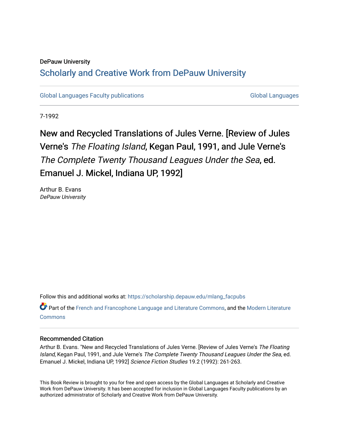### DePauw University

### Scholarly and [Creative Work from DePauw Univ](https://scholarship.depauw.edu/)ersity

[Global Languages Faculty publications](https://scholarship.depauw.edu/mlang_facpubs) [Global Languages](https://scholarship.depauw.edu/modernlanguages) Global Languages

7-1992

## New and Recycled Translations of Jules Verne. [Review of Jules Verne's The Floating Island, Kegan Paul, 1991, and Jule Verne's The Complete Twenty Thousand Leagues Under the Sea, ed. Emanuel J. Mickel, Indiana UP, 1992]

Arthur B. Evans DePauw University

Follow this and additional works at: [https://scholarship.depauw.edu/mlang\\_facpubs](https://scholarship.depauw.edu/mlang_facpubs?utm_source=scholarship.depauw.edu%2Fmlang_facpubs%2F42&utm_medium=PDF&utm_campaign=PDFCoverPages)

**P** Part of the [French and Francophone Language and Literature Commons,](https://network.bepress.com/hgg/discipline/463?utm_source=scholarship.depauw.edu%2Fmlang_facpubs%2F42&utm_medium=PDF&utm_campaign=PDFCoverPages) and the [Modern Literature](https://network.bepress.com/hgg/discipline/1050?utm_source=scholarship.depauw.edu%2Fmlang_facpubs%2F42&utm_medium=PDF&utm_campaign=PDFCoverPages) **[Commons](https://network.bepress.com/hgg/discipline/1050?utm_source=scholarship.depauw.edu%2Fmlang_facpubs%2F42&utm_medium=PDF&utm_campaign=PDFCoverPages)** 

#### Recommended Citation

Arthur B. Evans. "New and Recycled Translations of Jules Verne. [Review of Jules Verne's The Floating Island, Kegan Paul, 1991, and Jule Verne's The Complete Twenty Thousand Leagues Under the Sea, ed. Emanuel J. Mickel, Indiana UP, 1992] Science Fiction Studies 19.2 (1992): 261-263.

This Book Review is brought to you for free and open access by the Global Languages at Scholarly and Creative Work from DePauw University. It has been accepted for inclusion in Global Languages Faculty publications by an authorized administrator of Scholarly and Creative Work from DePauw University.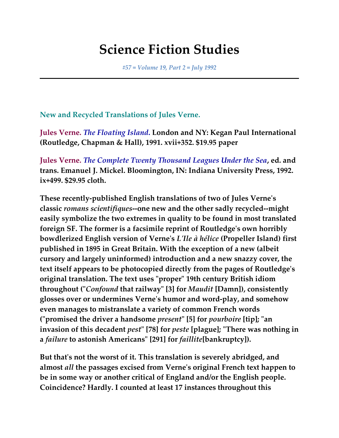# **Science Fiction Studies**

*#57 = Volume 19, Part 2 = July 1992*

**New and Recycled Translations of Jules Verne.**

**Jules Verne.** *The Floating Island***. London and NY: Kegan Paul International (Routledge, Chapman & Hall), 1991. xvii+352. \$19.95 paper**

**Jules Verne.** *The Complete Twenty Thousand Leagues Under the Sea***, ed. and trans. Emanuel J. Mickel. Bloomington, IN: Indiana University Press, 1992. ix+499. \$29.95 cloth.**

**These recently-published English translations of two of Jules Verne's classic** *romans scientifiques***--one new and the other sadly recycled--might easily symbolize the two extremes in quality to be found in most translated foreign SF. The former is a facsimile reprint of Routledge's own horribly bowdlerized English version of Verne's** *L'Ile à hélice* **(Propeller Island) first published in 1895 in Great Britain. With the exception of a new (albeit cursory and largely uninformed) introduction and a new snazzy cover, the text itself appears to be photocopied directly from the pages of Routledge's original translation. The text uses "proper" 19th century British idiom throughout ("***Confound* **that railway" [3] for** *Maudit* **[Damn]), consistently glosses over or undermines Verne's humor and word-play, and somehow even manages to mistranslate a variety of common French words ("promised the driver a handsome** *present***" [5] for** *pourboire* **[tip]; "an invasion of this decadent** *pest***" [78] for** *peste* **[plague]; "There was nothing in a** *failure* **to astonish Americans" [291] for** *faillite***[bankruptcy]).**

**But that's not the worst of it. This translation is severely abridged, and almost** *all* **the passages excised from Verne's original French text happen to be in some way or another critical of England and/or the English people. Coincidence? Hardly. I counted at least 17 instances throughout this**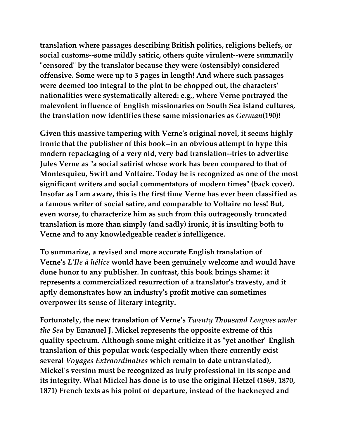**translation where passages describing British politics, religious beliefs, or social customs--some mildly satiric, others quite virulent--were summarily "censored" by the translator because they were (ostensibly) considered offensive. Some were up to 3 pages in length! And where such passages were deemed too integral to the plot to be chopped out, the characters' nationalities were systematically altered: e.g., where Verne portrayed the malevolent influence of English missionaries on South Sea island cultures, the translation now identifies these same missionaries as** *German***(190)!**

**Given this massive tampering with Verne's original novel, it seems highly ironic that the publisher of this book--in an obvious attempt to hype this modern repackaging of a very old, very bad translation--tries to advertise Jules Verne as "a social satirist whose work has been compared to that of Montesquieu, Swift and Voltaire. Today he is recognized as one of the most significant writers and social commentators of modern times" (back cover). Insofar as I am aware, this is the first time Verne has ever been classified as a famous writer of social satire, and comparable to Voltaire no less! But, even worse, to characterize him as such from this outrageously truncated translation is more than simply (and sadly) ironic, it is insulting both to Verne and to any knowledgeable reader's intelligence.**

**To summarize, a revised and more accurate English translation of Verne's** *L'Ile à hélice* **would have been genuinely welcome and would have done honor to any publisher. In contrast, this book brings shame: it represents a commercialized resurrection of a translator's travesty, and it aptly demonstrates how an industry's profit motive can sometimes overpower its sense of literary integrity.**

**Fortunately, the new translation of Verne's** *Twenty Thousand Leagues under the Sea* **by Emanuel J. Mickel represents the opposite extreme of this quality spectrum. Although some might criticize it as "yet another" English translation of this popular work (especially when there currently exist several** *Voyages Extraordinaires* **which remain to date untranslated), Mickel's version must be recognized as truly professional in its scope and its integrity. What Mickel has done is to use the original Hetzel (1869, 1870, 1871) French texts as his point of departure, instead of the hackneyed and**